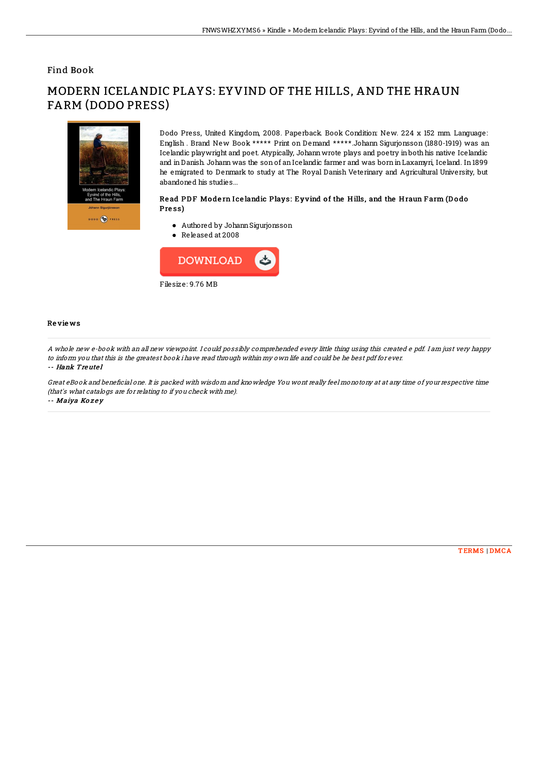## Find Book

# DODO (C) PRESS

# MODERN ICELANDIC PLAYS: EYVIND OF THE HILLS, AND THE HRAUN FARM (DODO PRESS)

Dodo Press, United Kingdom, 2008. Paperback. Book Condition: New. 224 x 152 mm. Language: English . Brand New Book \*\*\*\*\* Print on Demand \*\*\*\*\*.Johann Sigurjonsson (1880-1919) was an Icelandic playwright and poet. Atypically, Johannwrote plays and poetry inboth his native Icelandic and inDanish. Johann was the sonof anIcelandic farmer and was borninLaxamyri, Iceland. In1899 he emigrated to Denmark to study at The Royal Danish Veterinary and Agricultural University, but abandoned his studies...

### Read PDF Modern I celandic Plays: Eyvind of the Hills, and the Hraun Farm (Dodo Press)

- Authored by JohannSigurjonsson
- Released at 2008



### Re vie ws

A whole new e-book with an all new viewpoint. I could possibly comprehended every little thing using this created <sup>e</sup> pdf. I am just very happy to inform you that this is the greatest book i have read through within my own life and could be he best pdf for ever.

### -- Hank Treutel

Great eBook and beneficial one. It is packed with wisdom and knowledge You wont really feel monotony at at any time of your respective time (that's what catalogs are for relating to if you check with me). -- Maiya Kozey